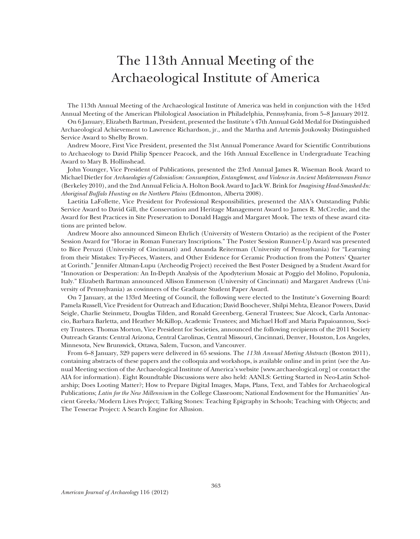# The 113th Annual Meeting of the Archaeological Institute of America

The 113th Annual Meeting of the Archaeological Institute of America was held in conjunction with the 143rd Annual Meeting of the American Philological Association in Philadelphia, Pennsylvania, from 5–8 January 2012.

On 6 January, Elizabeth Bartman, President, presented the Institute's 47th Annual Gold Medal for Distinguished Archaeological Achievement to Lawrence Richardson, jr., and the Martha and Artemis Joukowsky Distinguished Service Award to Shelby Brown.

Andrew Moore, First Vice President, presented the 31st Annual Pomerance Award for Scientific Contributions to Archaeology to David Philip Spencer Peacock, and the 16th Annual Excellence in Undergraduate Teaching Award to Mary B. Hollinshead.

John Younger, Vice President of Publications, presented the 23rd Annual James R. Wiseman Book Award to Michael Dietler for *Archaeologies of Colonialism: Consumption, Entanglement, and Violence in Ancient Mediterranean France* (Berkeley 2010), and the 2nd Annual Felicia A. Holton Book Award to Jack W. Brink for *Imagining Head-Smashed-In: Aboriginal Buffalo Hunting on the Northern Plains* (Edmonton, Alberta 2008).

Laetitia LaFollette, Vice President for Professional Responsibilities, presented the AIA's Outstanding Public Service Award to David Gill, the Conservation and Heritage Management Award to James R. McCredie, and the Award for Best Practices in Site Preservation to Donald Haggis and Margaret Mook. The texts of these award citations are printed below.

Andrew Moore also announced Simeon Ehrlich (University of Western Ontario) as the recipient of the Poster Session Award for "Horae in Roman Funerary Inscriptions." The Poster Session Runner-Up Award was presented to Bice Peruzzi (University of Cincinnati) and Amanda Reiterman (University of Pennsylvania) for "Learning from their Mistakes: Try-Pieces, Wasters, and Other Evidence for Ceramic Production from the Potters' Quarter at Corinth." Jennifer Altman-Lupu (Archeodig Project) received the Best Poster Designed by a Student Award for "Innovation or Desperation: An In-Depth Analysis of the Apodyterium Mosaic at Poggio del Molino, Populonia, Italy." Elizabeth Bartman announced Allison Emmerson (University of Cincinnati) and Margaret Andrews (University of Pennsylvania) as cowinners of the Graduate Student Paper Award.

On 7 January, at the 133rd Meeting of Council, the following were elected to the Institute's Governing Board: Pamela Russell, Vice President for Outreach and Education; David Boochever, Shilpi Mehta, Eleanor Powers, David Seigle, Charlie Steinmetz, Douglas Tilden, and Ronald Greenberg, General Trustees; Sue Alcock, Carla Antonaccio, Barbara Barletta, and Heather McKillop, Academic Trustees; and Michael Hoff and Maria Papaioannou, Society Trustees. Thomas Morton, Vice President for Societies, announced the following recipients of the 2011 Society Outreach Grants: Central Arizona, Central Carolinas, Central Missouri, Cincinnati, Denver, Houston, Los Angeles, Minnesota, New Brunswick, Ottawa, Salem, Tucson, and Vancouver.

From 6–8 January, 329 papers were delivered in 65 sessions. The *113th Annual Meeting Abstracts* (Boston 2011), containing abstracts of these papers and the colloquia and workshops, is available online and in print (see the Annual Meeting section of the Archaeological Institute of America's website [www.archaeological.org] or contact the AIA for information). Eight Roundtable Discussions were also held: AANLS: Getting Started in Neo-Latin Scholarship; Does Looting Matter?; How to Prepare Digital Images, Maps, Plans, Text, and Tables for Archaeological Publications; *Latin for the New Millennium* in the College Classroom; National Endowment for the Humanities' Ancient Greeks/Modern Lives Project; Talking Stones: Teaching Epigraphy in Schools; Teaching with Objects; and The Tesserae Project: A Search Engine for Allusion.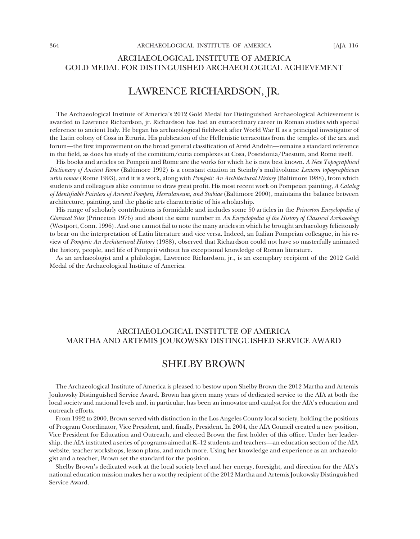### ARCHAEOLOGICAL INSTITUTE OF AMERICA GOLD MEDAL FOR DISTINGUISHED ARCHAEOLOGICAL ACHIEVEMENT

# LAWRENCE RICHARDSON, JR.

The Archaeological Institute of America's 2012 Gold Medal for Distinguished Archaeological Achievement is awarded to Lawrence Richardson, jr. Richardson has had an extraordinary career in Roman studies with special reference to ancient Italy. He began his archaeological fieldwork after World War II as a principal investigator of the Latin colony of Cosa in Etruria. His publication of the Hellenistic terracottas from the temples of the arx and forum—the first improvement on the broad general classification of Arvid Andrén—remains a standard reference in the field, as does his study of the comitium/curia complexes at Cosa, Poseidonia/Paestum, and Rome itself.

His books and articles on Pompeii and Rome are the works for which he is now best known. *A New Topographical Dictionary of Ancient Rome* (Baltimore 1992) is a constant citation in Steinby's multivolume *Lexicon topographicum urbis romae* (Rome 1993), and it is a work, along with *Pompeii: An Architectural History* (Baltimore 1988), from which students and colleagues alike continue to draw great profit. His most recent work on Pompeian painting, *A Catalog of Identifiable Painters of Ancient Pompeii, Herculaneum, and Stabiae* (Baltimore 2000), maintains the balance between architecture, painting, and the plastic arts characteristic of his scholarship.

His range of scholarly contributions is formidable and includes some 50 articles in the *Princeton Encyclopedia of Classical Sites* (Princeton 1976) and about the same number in *An Encyclopedia of the History of Classical Archaeology*  (Westport, Conn. 1996). And one cannot fail to note the many articles in which he brought archaeology felicitously to bear on the interpretation of Latin literature and vice versa. Indeed, an Italian Pompeian colleague, in his review of *Pompeii: An Architectural History* (1988), observed that Richardson could not have so masterfully animated the history, people, and life of Pompeii without his exceptional knowledge of Roman literature.

As an archaeologist and a philologist, Lawrence Richardson, jr., is an exemplary recipient of the 2012 Gold Medal of the Archaeological Institute of America.

### ARCHAEOLOGICAL INSTITUTE OF AMERICA MARTHA AND ARTEMIS JOUKOWSKY DISTINGUISHED SERVICE AWARD

### SHELBY BROWN

The Archaeological Institute of America is pleased to bestow upon Shelby Brown the 2012 Martha and Artemis Joukowsky Distinguished Service Award. Brown has given many years of dedicated service to the AIA at both the local society and national levels and, in particular, has been an innovator and catalyst for the AIA's education and outreach efforts.

From 1992 to 2000, Brown served with distinction in the Los Angeles County local society, holding the positions of Program Coordinator, Vice President, and, finally, President. In 2004, the AIA Council created a new position, Vice President for Education and Outreach, and elected Brown the first holder of this office. Under her leadership, the AIA instituted a series of programs aimed at K–12 students and teachers—an education section of the AIA website, teacher workshops, lesson plans, and much more. Using her knowledge and experience as an archaeologist and a teacher, Brown set the standard for the position.

Shelby Brown's dedicated work at the local society level and her energy, foresight, and direction for the AIA's national education mission makes her a worthy recipient of the 2012 Martha and Artemis Joukowsky Distinguished Service Award.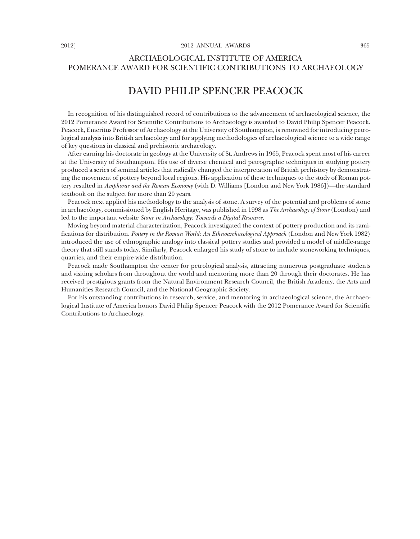### ARCHAEOLOGICAL INSTITUTE OF AMERICA POMERANCE AWARD FOR SCIENTIFIC CONTRIBUTIONS TO ARCHAEOLOGY

# DAVID PHILIP SPENCER PEACOCK

In recognition of his distinguished record of contributions to the advancement of archaeological science, the 2012 Pomerance Award for Scientific Contributions to Archaeology is awarded to David Philip Spencer Peacock. Peacock, Emeritus Professor of Archaeology at the University of Southampton, is renowned for introducing petrological analysis into British archaeology and for applying methodologies of archaeological science to a wide range of key questions in classical and prehistoric archaeology.

After earning his doctorate in geology at the University of St. Andrews in 1965, Peacock spent most of his career at the University of Southampton. His use of diverse chemical and petrographic techniques in studying pottery produced a series of seminal articles that radically changed the interpretation of British prehistory by demonstrating the movement of pottery beyond local regions. His application of these techniques to the study of Roman pottery resulted in *Amphorae and the Roman Economy* (with D. Williams [London and New York 1986])—the standard textbook on the subject for more than 20 years.

Peacock next applied his methodology to the analysis of stone. A survey of the potential and problems of stone in archaeology, commissioned by English Heritage, was published in 1998 as *The Archaeology of Stone* (London) and led to the important website *Stone in Archaeology: Towards a Digital Resource.*

Moving beyond material characterization, Peacock investigated the context of pottery production and its ramifications for distribution. *Pottery in the Roman World: An Ethnoarchaeological Approach* (London and New York 1982) introduced the use of ethnographic analogy into classical pottery studies and provided a model of middle-range theory that still stands today. Similarly, Peacock enlarged his study of stone to include stoneworking techniques, quarries, and their empire-wide distribution.

Peacock made Southampton the center for petrological analysis, attracting numerous postgraduate students and visiting scholars from throughout the world and mentoring more than 20 through their doctorates. He has received prestigious grants from the Natural Environment Research Council, the British Academy, the Arts and Humanities Research Council, and the National Geographic Society.

For his outstanding contributions in research, service, and mentoring in archaeological science, the Archaeological Institute of America honors David Philip Spencer Peacock with the 2012 Pomerance Award for Scientific Contributions to Archaeology.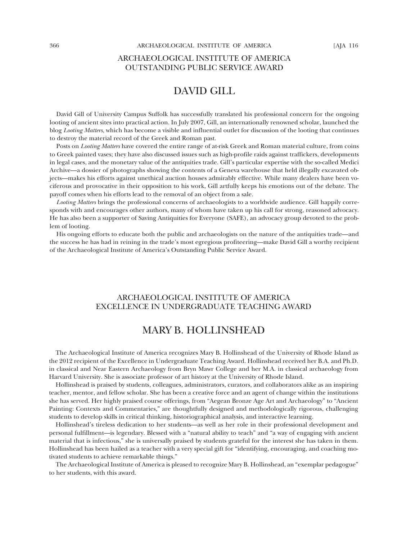### ARCHAEOLOGICAL INSTITUTE OF AMERICA OUTSTANDING PUBLIC SERVICE AWARD

# DAVID GILL

David Gill of University Campus Suffolk has successfully translated his professional concern for the ongoing looting of ancient sites into practical action. In July 2007, Gill, an internationally renowned scholar, launched the blog *Looting Matters*, which has become a visible and influential outlet for discussion of the looting that continues to destroy the material record of the Greek and Roman past.

Posts on *Looting Matters* have covered the entire range of at-risk Greek and Roman material culture, from coins to Greek painted vases; they have also discussed issues such as high-profile raids against traffickers, developments in legal cases, and the monetary value of the antiquities trade. Gill's particular expertise with the so-called Medici Archive—a dossier of photographs showing the contents of a Geneva warehouse that held illegally excavated objects—makes his efforts against unethical auction houses admirably effective. While many dealers have been vociferous and provocative in their opposition to his work, Gill artfully keeps his emotions out of the debate. The payoff comes when his efforts lead to the removal of an object from a sale.

*Looting Matters* brings the professional concerns of archaeologists to a worldwide audience. Gill happily corresponds with and encourages other authors, many of whom have taken up his call for strong, reasoned advocacy. He has also been a supporter of Saving Antiquities for Everyone (SAFE), an advocacy group devoted to the problem of looting.

His ongoing efforts to educate both the public and archaeologists on the nature of the antiquities trade—and the success he has had in reining in the trade's most egregious profiteering—make David Gill a worthy recipient of the Archaeological Institute of America's Outstanding Public Service Award.

#### ARCHAEOLOGICAL INSTITUTE OF AMERICA EXCELLENCE IN UNDERGRADUATE TEACHING AWARD

### MARY B. HOLLINSHEAD

The Archaeological Institute of America recognizes Mary B. Hollinshead of the University of Rhode Island as the 2012 recipient of the Excellence in Undergraduate Teaching Award. Hollinshead received her B.A. and Ph.D. in classical and Near Eastern Archaeology from Bryn Mawr College and her M.A. in classical archaeology from Harvard University. She is associate professor of art history at the University of Rhode Island.

Hollinshead is praised by students, colleagues, administrators, curators, and collaborators alike as an inspiring teacher, mentor, and fellow scholar. She has been a creative force and an agent of change within the institutions she has served. Her highly praised course offerings, from "Aegean Bronze Age Art and Archaeology" to "Ancient Painting: Contexts and Commentaries," are thoughtfully designed and methodologically rigorous, challenging students to develop skills in critical thinking, historiographical analysis, and interactive learning.

Hollinshead's tireless dedication to her students—as well as her role in their professional development and personal fulfillment—is legendary. Blessed with a "natural ability to teach" and "a way of engaging with ancient material that is infectious," she is universally praised by students grateful for the interest she has taken in them. Hollinshead has been hailed as a teacher with a very special gift for "identifying, encouraging, and coaching motivated students to achieve remarkable things."

The Archaeological Institute of America is pleased to recognize Mary B. Hollinshead, an "exemplar pedagogue" to her students, with this award.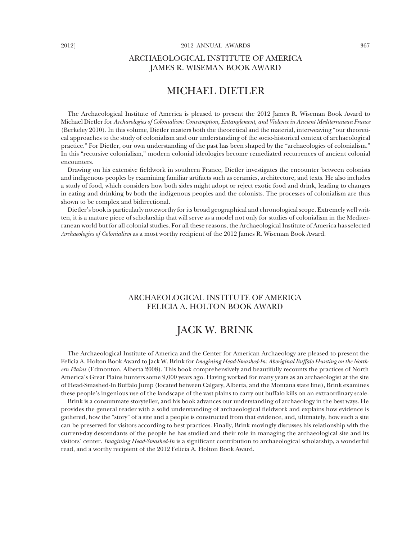### ARCHAEOLOGICAL INSTITUTE OF AMERICA JAMES R. WISEMAN BOOK AWARD

# MICHAEL DIETLER

The Archaeological Institute of America is pleased to present the 2012 James R. Wiseman Book Award to Michael Dietler for *Archaeologies of Colonialism: Consumption, Entanglement, and Violence in Ancient Mediterranean France* (Berkeley 2010). In this volume, Dietler masters both the theoretical and the material, interweaving "our theoretical approaches to the study of colonialism and our understanding of the socio-historical context of archaeological practice." For Dietler, our own understanding of the past has been shaped by the "archaeologies of colonialism." In this "recursive colonialism," modern colonial ideologies become remediated recurrences of ancient colonial encounters.

Drawing on his extensive fieldwork in southern France, Dietler investigates the encounter between colonists and indigenous peoples by examining familiar artifacts such as ceramics, architecture, and texts. He also includes a study of food, which considers how both sides might adopt or reject exotic food and drink, leading to changes in eating and drinking by both the indigenous peoples and the colonists. The processes of colonialism are thus shown to be complex and bidirectional.

Dietler's book is particularly noteworthy for its broad geographical and chronological scope. Extremely well written, it is a mature piece of scholarship that will serve as a model not only for studies of colonialism in the Mediterranean world but for all colonial studies. For all these reasons, the Archaeological Institute of America has selected *Archaeologies of Colonialism* as a most worthy recipient of the 2012 James R. Wiseman Book Award.

### ARCHAEOLOGICAL INSTITUTE OF AMERICA FELICIA A. HOLTON BOOK AWARD

# JACK W. BRINK

The Archaeological Institute of America and the Center for American Archaeology are pleased to present the Felicia A. Holton Book Award to Jack W. Brink for *Imagining Head-Smashed-In: Aboriginal Buffalo Hunting on the Northern Plains* (Edmonton, Alberta 2008). This book comprehensively and beautifully recounts the practices of North America's Great Plains hunters some 9,000 years ago. Having worked for many years as an archaeologist at the site of Head-Smashed-In Buffalo Jump (located between Calgary, Alberta, and the Montana state line), Brink examines these people's ingenious use of the landscape of the vast plains to carry out buffalo kills on an extraordinary scale.

Brink is a consummate storyteller, and his book advances our understanding of archaeology in the best ways. He provides the general reader with a solid understanding of archaeological fieldwork and explains how evidence is gathered, how the "story" of a site and a people is constructed from that evidence, and, ultimately, how such a site can be preserved for visitors according to best practices. Finally, Brink movingly discusses his relationship with the current-day descendants of the people he has studied and their role in managing the archaeological site and its visitors' center. *Imagining Head-Smashed-In* is a significant contribution to archaeological scholarship, a wonderful read, and a worthy recipient of the 2012 Felicia A. Holton Book Award.